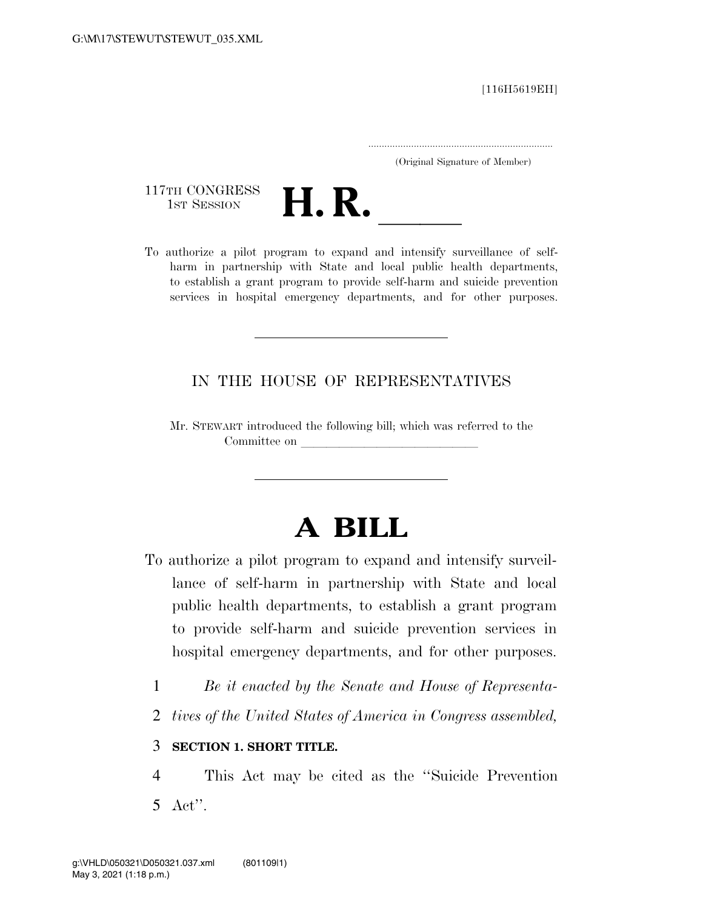[116H5619EH]

.....................................................................

(Original Signature of Member)

117TH CONGRESS<br>1st Session



117TH CONGRESS<br>1st SESSION<br>To authorize a pilot program to expand and intensify surveillance of selfharm in partnership with State and local public health departments, to establish a grant program to provide self-harm and suicide prevention services in hospital emergency departments, and for other purposes.

#### IN THE HOUSE OF REPRESENTATIVES

Mr. STEWART introduced the following bill; which was referred to the Committee on leads on later was a set of the contract of the contract of the contract of the contract of the contract of the contract of the contract of the contract of the contract of the contract of the contract of the c

# **A BILL**

- To authorize a pilot program to expand and intensify surveillance of self-harm in partnership with State and local public health departments, to establish a grant program to provide self-harm and suicide prevention services in hospital emergency departments, and for other purposes.
	- 1 *Be it enacted by the Senate and House of Representa-*
	- 2 *tives of the United States of America in Congress assembled,*

#### 3 **SECTION 1. SHORT TITLE.**

4 This Act may be cited as the ''Suicide Prevention 5 Act''.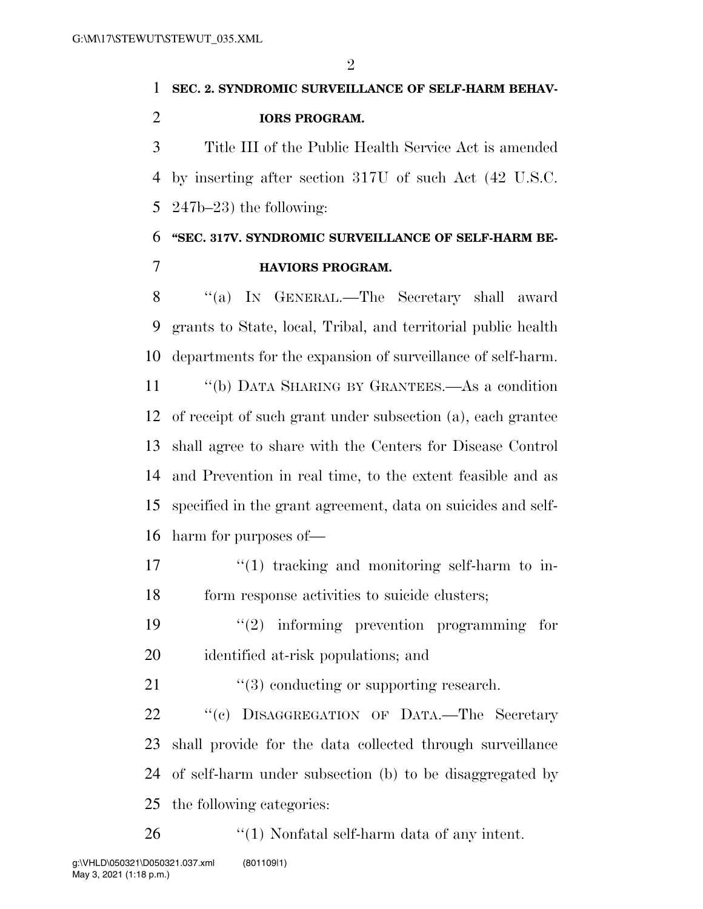$\mathfrak{D}$ 

# **SEC. 2. SYNDROMIC SURVEILLANCE OF SELF-HARM BEHAV-IORS PROGRAM.**

 Title III of the Public Health Service Act is amended by inserting after section 317U of such Act (42 U.S.C. 247b–23) the following:

### **''SEC. 317V. SYNDROMIC SURVEILLANCE OF SELF-HARM BE-HAVIORS PROGRAM.**

 ''(a) IN GENERAL.—The Secretary shall award grants to State, local, Tribal, and territorial public health

departments for the expansion of surveillance of self-harm.

 ''(b) DATA SHARING BY GRANTEES.—As a condition of receipt of such grant under subsection (a), each grantee shall agree to share with the Centers for Disease Control and Prevention in real time, to the extent feasible and as specified in the grant agreement, data on suicides and self-harm for purposes of—

- $\frac{17}{17}$  ''(1) tracking and monitoring self-harm to in-18 form response activities to suicide clusters;
- 19  $(2)$  informing prevention programming for identified at-risk populations; and
- 21 ''(3) conducting or supporting research.

22 "(c) DISAGGREGATION OF DATA.—The Secretary shall provide for the data collected through surveillance of self-harm under subsection (b) to be disaggregated by the following categories:

26 "(1) Nonfatal self-harm data of any intent.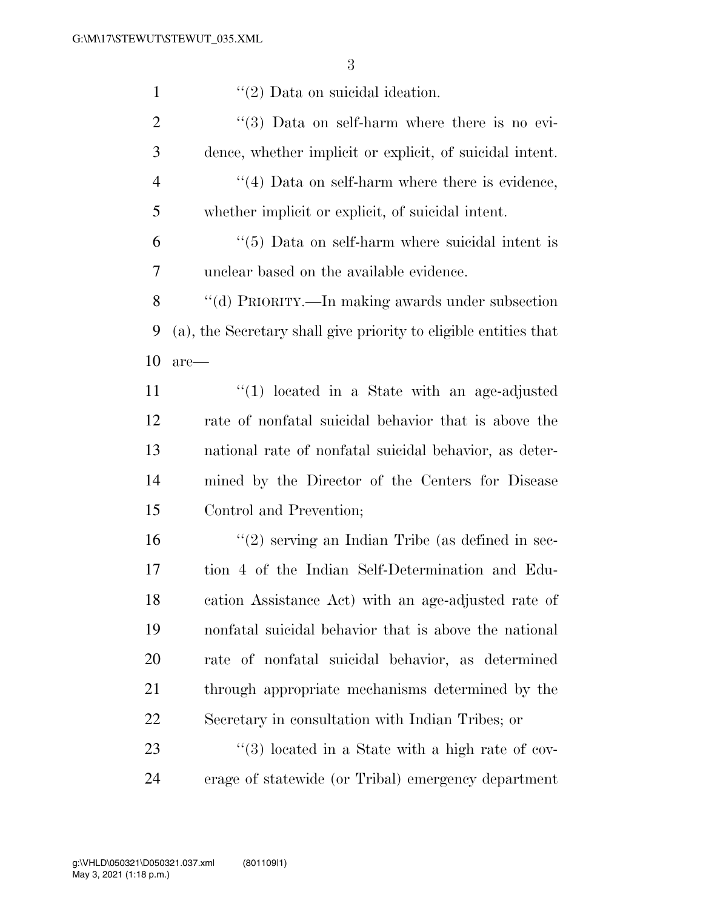| $\mathbf{1}$   | $\lq(2)$ Data on suicidal ideation.                              |
|----------------|------------------------------------------------------------------|
| $\overline{2}$ | $\cdot\cdot\cdot(3)$ Data on self-harm where there is no evi-    |
| 3              | dence, whether implicit or explicit, of suicidal intent.         |
| $\overline{4}$ | $\lq(4)$ Data on self-harm where there is evidence,              |
| 5              | whether implicit or explicit, of suicidal intent.                |
| 6              | $\cdot\cdot$ (5) Data on self-harm where suicidal intent is      |
| 7              | unclear based on the available evidence.                         |
| 8              | "(d) PRIORITY.—In making awards under subsection                 |
| 9              | (a), the Secretary shall give priority to eligible entities that |
| 10             | $are-$                                                           |
| 11             | $\lq(1)$ located in a State with an age-adjusted                 |
| 12             | rate of nonfatal suicidal behavior that is above the             |
| 13             | national rate of nonfatal suicidal behavior, as deter-           |
| 14             | mined by the Director of the Centers for Disease                 |
| 15             | Control and Prevention;                                          |
| 16             | $\lq(2)$ serving an Indian Tribe (as defined in sec-             |
| 17             | tion 4 of the Indian Self-Determination and Edu-                 |
| 18             | cation Assistance Act) with an age-adjusted rate of              |
| 19             | nonfatal suicidal behavior that is above the national            |
| 20             | rate of nonfatal suicidal behavior, as determined                |
| 21             | through appropriate mechanisms determined by the                 |
| 22             | Secretary in consultation with Indian Tribes; or                 |
| 23             | $\lq(3)$ located in a State with a high rate of cov-             |
| 24             | erage of statewide (or Tribal) emergency department              |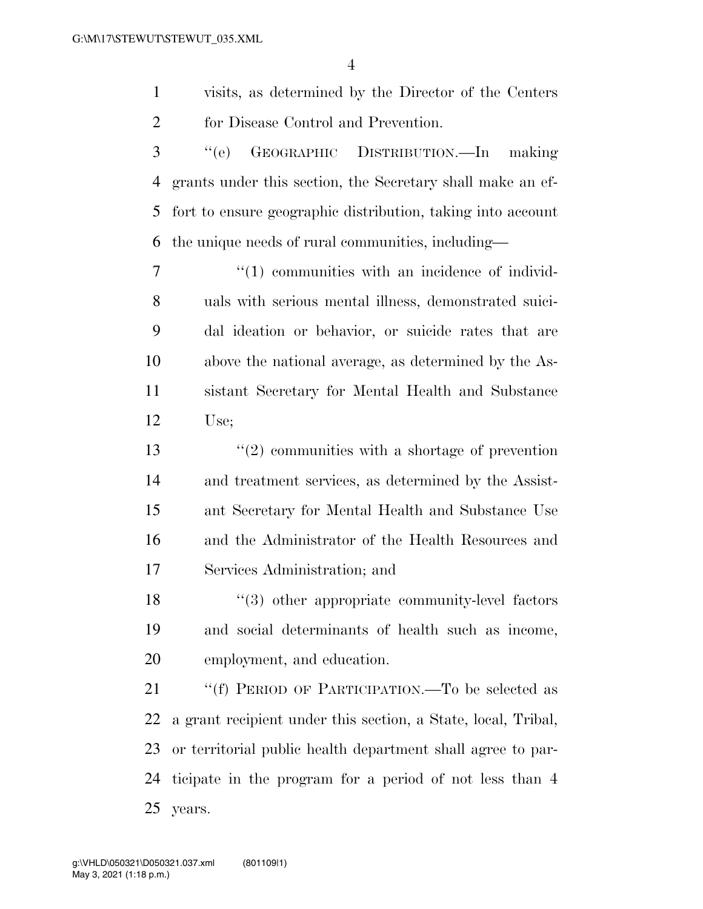visits, as determined by the Director of the Centers for Disease Control and Prevention.

 ''(e) GEOGRAPHIC DISTRIBUTION.—In making grants under this section, the Secretary shall make an ef- fort to ensure geographic distribution, taking into account the unique needs of rural communities, including—

 $\frac{1}{10}$  communities with an incidence of individ- uals with serious mental illness, demonstrated suici- dal ideation or behavior, or suicide rates that are above the national average, as determined by the As- sistant Secretary for Mental Health and Substance Use;

 ''(2) communities with a shortage of prevention and treatment services, as determined by the Assist- ant Secretary for Mental Health and Substance Use and the Administrator of the Health Resources and Services Administration; and

18 ''(3) other appropriate community-level factors and social determinants of health such as income, employment, and education.

21 ""(f) PERIOD OF PARTICIPATION.—To be selected as a grant recipient under this section, a State, local, Tribal, or territorial public health department shall agree to par- ticipate in the program for a period of not less than 4 years.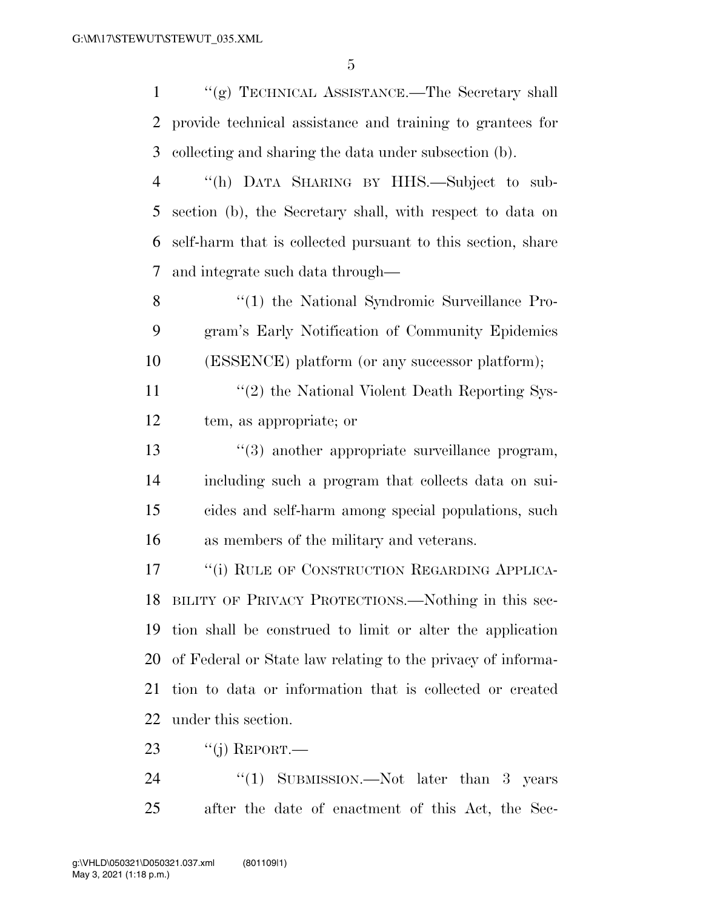''(g) TECHNICAL ASSISTANCE.—The Secretary shall provide technical assistance and training to grantees for collecting and sharing the data under subsection (b).

 ''(h) DATA SHARING BY HHS.—Subject to sub- section (b), the Secretary shall, with respect to data on self-harm that is collected pursuant to this section, share and integrate such data through—

8 "(1) the National Syndromic Surveillance Pro- gram's Early Notification of Community Epidemics (ESSENCE) platform (or any successor platform);

11 ''(2) the National Violent Death Reporting Sys-tem, as appropriate; or

13 ''(3) another appropriate surveillance program, including such a program that collects data on sui- cides and self-harm among special populations, such as members of the military and veterans.

17 "(i) RULE OF CONSTRUCTION REGARDING APPLICA- BILITY OF PRIVACY PROTECTIONS.—Nothing in this sec- tion shall be construed to limit or alter the application of Federal or State law relating to the privacy of informa- tion to data or information that is collected or created under this section.

23  $\frac{1}{1}$  REPORT.

24 "(1) SUBMISSION.—Not later than 3 years after the date of enactment of this Act, the Sec-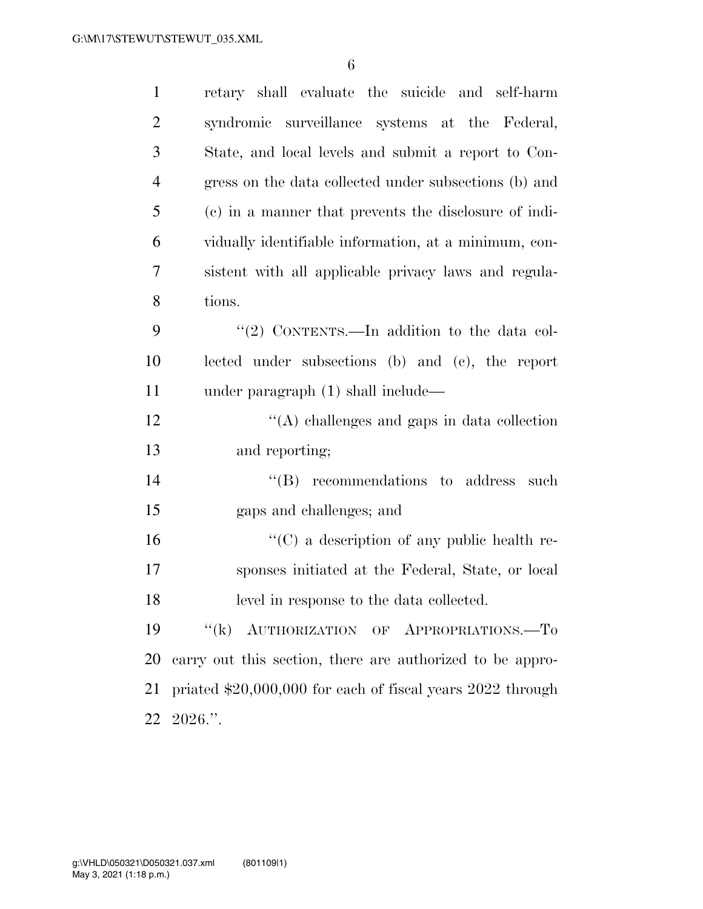| $\mathbf{1}$   | retary shall evaluate the suicide and self-harm               |
|----------------|---------------------------------------------------------------|
| $\overline{2}$ | syndromic surveillance systems at the Federal,                |
| 3              | State, and local levels and submit a report to Con-           |
| $\overline{4}$ | gress on the data collected under subsections (b) and         |
| 5              | (c) in a manner that prevents the disclosure of indi-         |
| 6              | vidually identifiable information, at a minimum, con-         |
| 7              | sistent with all applicable privacy laws and regula-          |
| 8              | tions.                                                        |
| 9              | "(2) CONTENTS.—In addition to the data col-                   |
| 10             | lected under subsections (b) and (c), the report              |
| 11             | under paragraph (1) shall include—                            |
| 12             | $\lq\lq$ challenges and gaps in data collection               |
| 13             | and reporting;                                                |
| 14             | $\lq\lq$ recommendations to address<br>such                   |
| 15             | gaps and challenges; and                                      |
| 16             | $\lq\lq$ (C) a description of any public health re-           |
| 17             | sponses initiated at the Federal, State, or local             |
| 18             | level in response to the data collected.                      |
| 19             | "(k) AUTHORIZATION OF APPROPRIATIONS.-To                      |
| 20             | carry out this section, there are authorized to be appro-     |
| 21             | priated $$20,000,000$ for each of fiscal years $2022$ through |
|                | $22\ \ 2026$ .".                                              |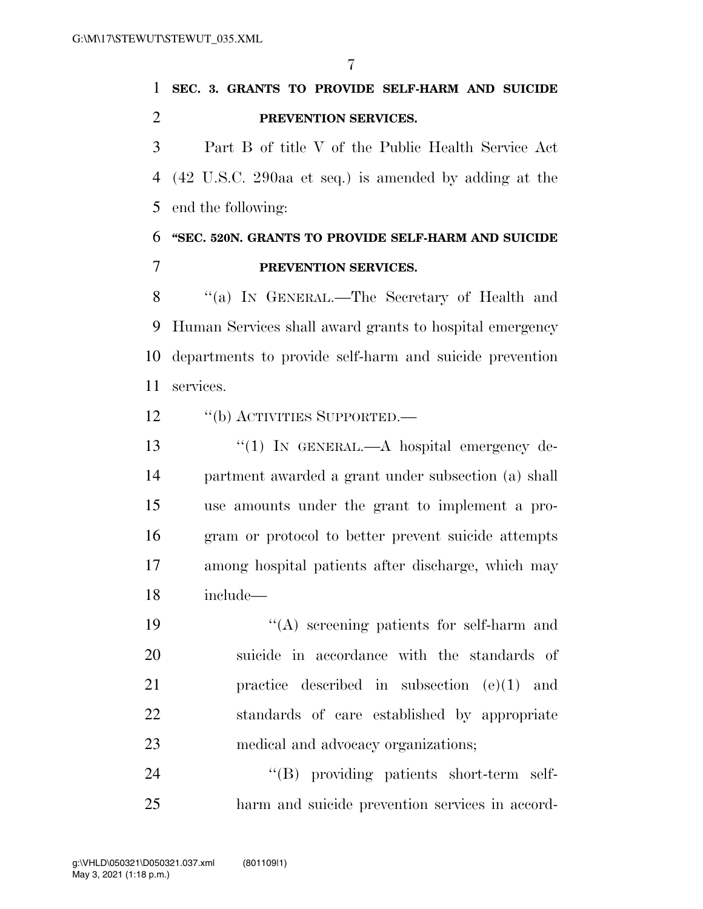## **SEC. 3. GRANTS TO PROVIDE SELF-HARM AND SUICIDE PREVENTION SERVICES.**

 Part B of title V of the Public Health Service Act (42 U.S.C. 290aa et seq.) is amended by adding at the end the following:

### **''SEC. 520N. GRANTS TO PROVIDE SELF-HARM AND SUICIDE PREVENTION SERVICES.**

 ''(a) IN GENERAL.—The Secretary of Health and Human Services shall award grants to hospital emergency departments to provide self-harm and suicide prevention services.

12 "(b) ACTIVITIES SUPPORTED.—

13 "(1) In GENERAL.—A hospital emergency de- partment awarded a grant under subsection (a) shall use amounts under the grant to implement a pro- gram or protocol to better prevent suicide attempts among hospital patients after discharge, which may include—

 ''(A) screening patients for self-harm and suicide in accordance with the standards of practice described in subsection (e)(1) and standards of care established by appropriate medical and advocacy organizations;

24  $\text{``(B)}$  providing patients short-term self-harm and suicide prevention services in accord-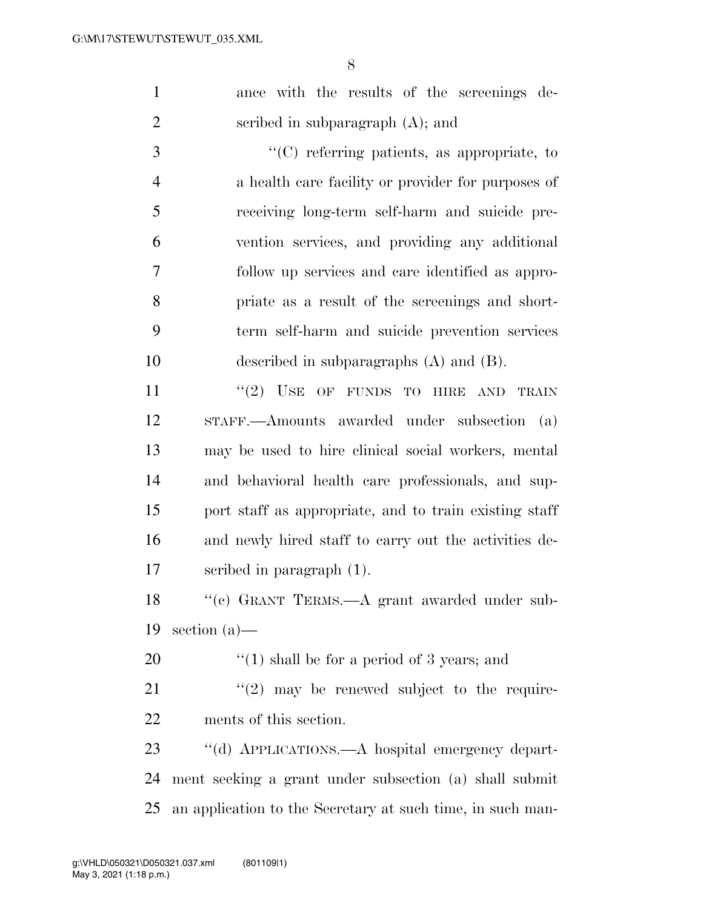ance with the results of the screenings de-scribed in subparagraph (A); and

 ''(C) referring patients, as appropriate, to a health care facility or provider for purposes of receiving long-term self-harm and suicide pre- vention services, and providing any additional follow up services and care identified as appro- priate as a result of the screenings and short- term self-harm and suicide prevention services described in subparagraphs (A) and (B).

11 ''(2) USE OF FUNDS TO HIRE AND TRAIN STAFF.—Amounts awarded under subsection (a) may be used to hire clinical social workers, mental and behavioral health care professionals, and sup- port staff as appropriate, and to train existing staff and newly hired staff to carry out the activities de-scribed in paragraph (1).

 ''(c) GRANT TERMS.—A grant awarded under sub-section (a)—

20  $\frac{1}{2}$  (1) shall be for a period of 3 years; and

 ''(2) may be renewed subject to the require-ments of this section.

 ''(d) APPLICATIONS.—A hospital emergency depart- ment seeking a grant under subsection (a) shall submit an application to the Secretary at such time, in such man-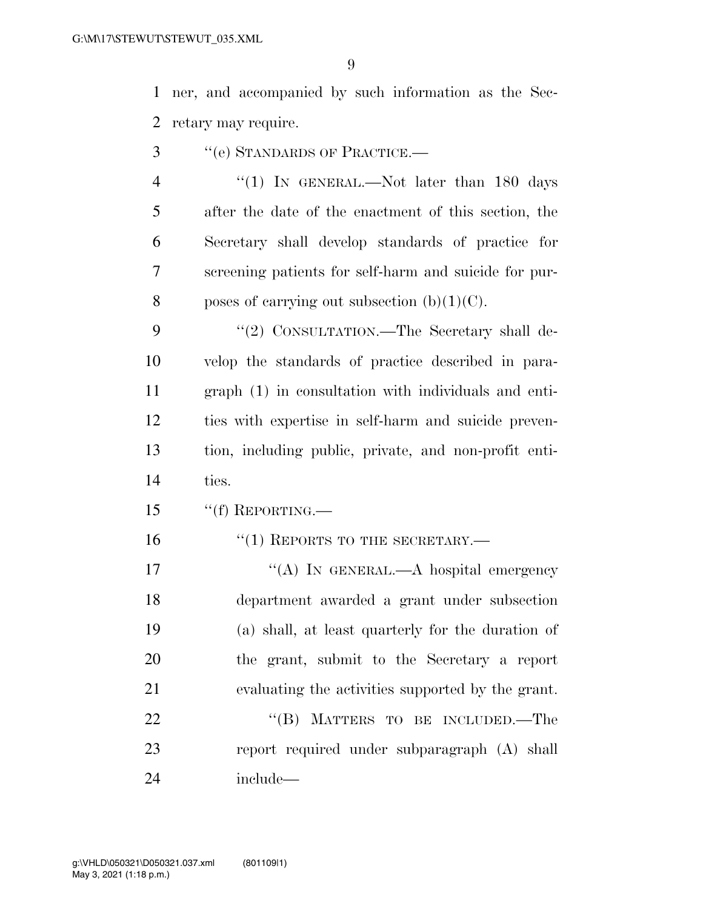ner, and accompanied by such information as the Sec-retary may require.

- ''(e) STANDARDS OF PRACTICE.—
- 4 "(1) In GENERAL.—Not later than 180 days after the date of the enactment of this section, the Secretary shall develop standards of practice for screening patients for self-harm and suicide for pur-8 poses of carrying out subsection  $(b)(1)(C)$ .

9 "(2) CONSULTATION.—The Secretary shall de- velop the standards of practice described in para- graph (1) in consultation with individuals and enti- ties with expertise in self-harm and suicide preven- tion, including public, private, and non-profit enti-ties.

- 15 "(f) REPORTING.
- 16 "(1) REPORTS TO THE SECRETARY.—

17 "(A) IN GENERAL.—A hospital emergency department awarded a grant under subsection (a) shall, at least quarterly for the duration of the grant, submit to the Secretary a report evaluating the activities supported by the grant. 22 "(B) MATTERS TO BE INCLUDED.—The

 report required under subparagraph (A) shall include—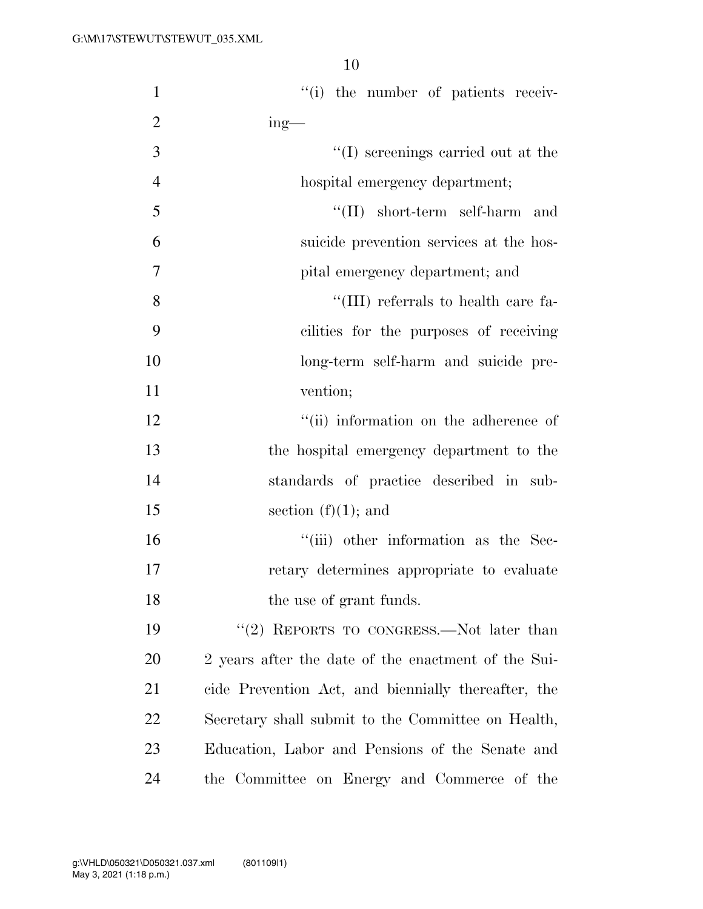| $\mathbf{1}$   | "(i) the number of patients receiv-                 |
|----------------|-----------------------------------------------------|
| $\overline{2}$ | $ing$ —                                             |
| 3              | $\lq\lq$ screenings carried out at the              |
| $\overline{4}$ | hospital emergency department;                      |
| 5              | $\lq\lq$ (II) short-term self-harm and              |
| 6              | suicide prevention services at the hos-             |
| $\tau$         | pital emergency department; and                     |
| 8              | "(III) referrals to health care fa-                 |
| 9              | cilities for the purposes of receiving              |
| 10             | long-term self-harm and suicide pre-                |
| 11             | vention;                                            |
| 12             | "(ii) information on the adherence of               |
| 13             | the hospital emergency department to the            |
| 14             | standards of practice described in sub-             |
| 15             | section $(f)(1)$ ; and                              |
| 16             | "(iii) other information as the Sec-                |
| 17             | retary determines appropriate to evaluate           |
| 18             | the use of grant funds.                             |
| 19             | "(2) REPORTS TO CONGRESS.—Not later than            |
| <b>20</b>      | 2 years after the date of the enactment of the Sui- |
| 21             | cide Prevention Act, and biennially thereafter, the |
| 22             | Secretary shall submit to the Committee on Health,  |
| 23             | Education, Labor and Pensions of the Senate and     |
| 24             | the Committee on Energy and Commerce of the         |